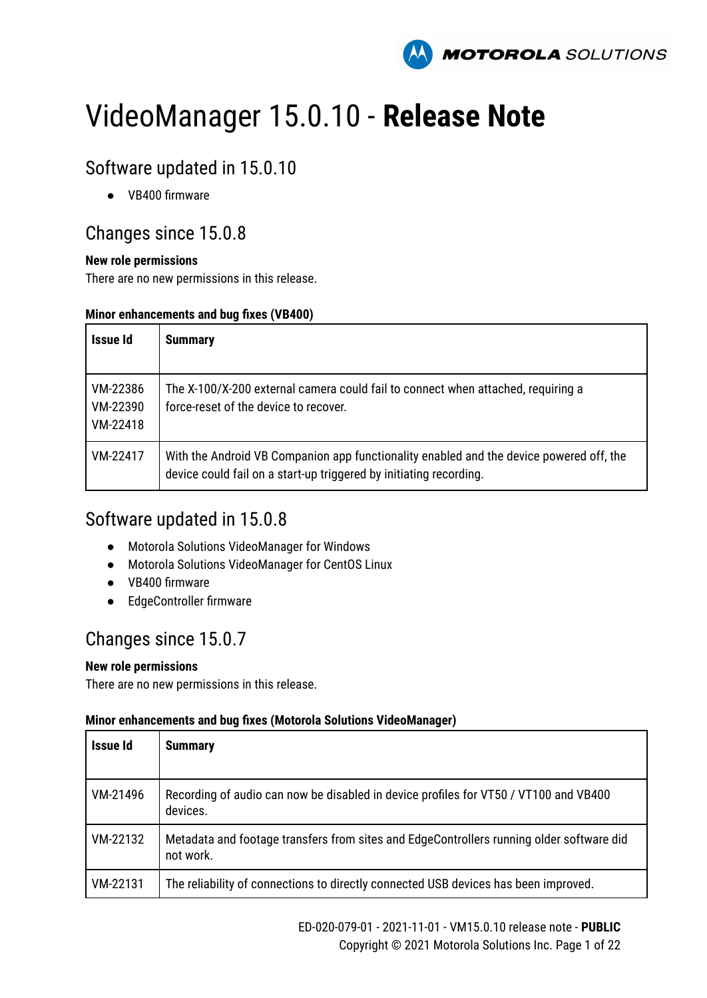

# VideoManager 15.0.10 - **Release Note**

# Software updated in 15.0.10

● VB400 firmware

### Changes since 15.0.8

#### **New role permissions**

There are no new permissions in this release.

#### **Minor enhancements and bug fixes (VB400)**

| Issue Id                         | <b>Summary</b>                                                                                                                                                |
|----------------------------------|---------------------------------------------------------------------------------------------------------------------------------------------------------------|
| VM-22386<br>VM-22390<br>VM-22418 | The X-100/X-200 external camera could fail to connect when attached, requiring a<br>force-reset of the device to recover.                                     |
| VM-22417                         | With the Android VB Companion app functionality enabled and the device powered off, the<br>device could fail on a start-up triggered by initiating recording. |

### Software updated in 15.0.8

- Motorola Solutions VideoManager for Windows
- Motorola Solutions VideoManager for CentOS Linux
- VB400 firmware
- EdgeController firmware

### Changes since 15.0.7

#### **New role permissions**

There are no new permissions in this release.

| Issue Id | <b>Summary</b>                                                                                        |
|----------|-------------------------------------------------------------------------------------------------------|
| VM-21496 | Recording of audio can now be disabled in device profiles for VT50 / VT100 and VB400<br>devices.      |
| VM-22132 | Metadata and footage transfers from sites and EdgeControllers running older software did<br>not work. |
| VM-22131 | The reliability of connections to directly connected USB devices has been improved.                   |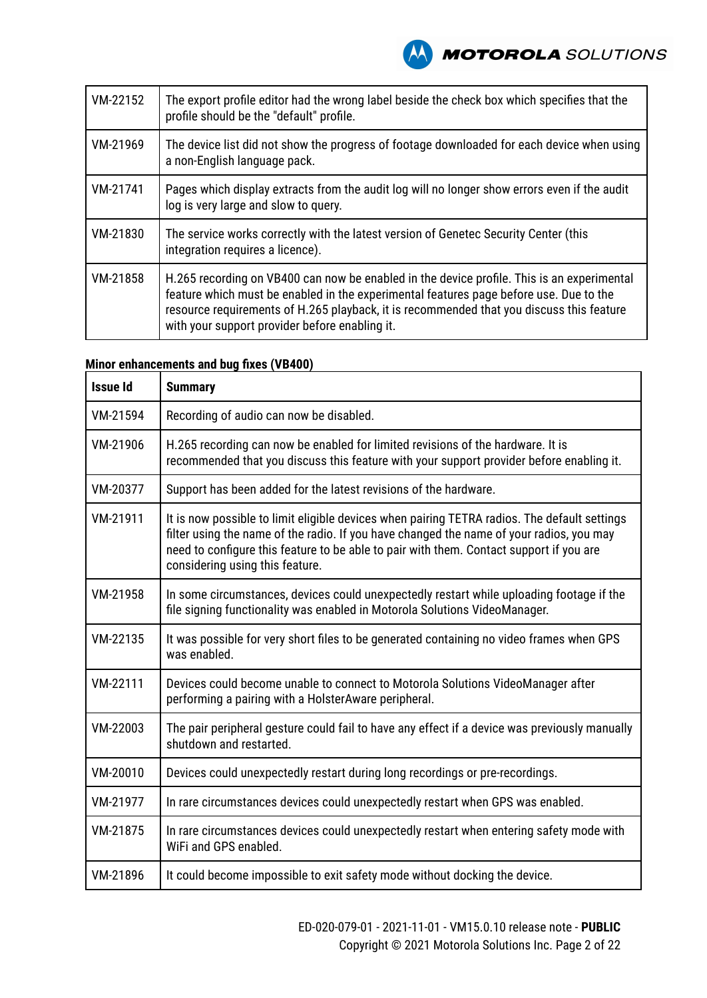| VM-22152 | The export profile editor had the wrong label beside the check box which specifies that the<br>profile should be the "default" profile.                                                                                                                                                                                            |
|----------|------------------------------------------------------------------------------------------------------------------------------------------------------------------------------------------------------------------------------------------------------------------------------------------------------------------------------------|
| VM-21969 | The device list did not show the progress of footage downloaded for each device when using<br>a non-English language pack.                                                                                                                                                                                                         |
| VM-21741 | Pages which display extracts from the audit log will no longer show errors even if the audit<br>log is very large and slow to query.                                                                                                                                                                                               |
| VM-21830 | The service works correctly with the latest version of Genetec Security Center (this<br>integration requires a licence).                                                                                                                                                                                                           |
| VM-21858 | H.265 recording on VB400 can now be enabled in the device profile. This is an experimental<br>feature which must be enabled in the experimental features page before use. Due to the<br>resource requirements of H.265 playback, it is recommended that you discuss this feature<br>with your support provider before enabling it. |

#### **Minor enhancements and bug fixes (VB400)**

| <b>Issue Id</b> | <b>Summary</b>                                                                                                                                                                                                                                                                                                         |
|-----------------|------------------------------------------------------------------------------------------------------------------------------------------------------------------------------------------------------------------------------------------------------------------------------------------------------------------------|
| VM-21594        | Recording of audio can now be disabled.                                                                                                                                                                                                                                                                                |
| VM-21906        | H.265 recording can now be enabled for limited revisions of the hardware. It is<br>recommended that you discuss this feature with your support provider before enabling it.                                                                                                                                            |
| VM-20377        | Support has been added for the latest revisions of the hardware.                                                                                                                                                                                                                                                       |
| VM-21911        | It is now possible to limit eligible devices when pairing TETRA radios. The default settings<br>filter using the name of the radio. If you have changed the name of your radios, you may<br>need to configure this feature to be able to pair with them. Contact support if you are<br>considering using this feature. |
| VM-21958        | In some circumstances, devices could unexpectedly restart while uploading footage if the<br>file signing functionality was enabled in Motorola Solutions VideoManager.                                                                                                                                                 |
| VM-22135        | It was possible for very short files to be generated containing no video frames when GPS<br>was enabled.                                                                                                                                                                                                               |
| VM-22111        | Devices could become unable to connect to Motorola Solutions VideoManager after<br>performing a pairing with a HolsterAware peripheral.                                                                                                                                                                                |
| VM-22003        | The pair peripheral gesture could fail to have any effect if a device was previously manually<br>shutdown and restarted.                                                                                                                                                                                               |
| VM-20010        | Devices could unexpectedly restart during long recordings or pre-recordings.                                                                                                                                                                                                                                           |
| VM-21977        | In rare circumstances devices could unexpectedly restart when GPS was enabled.                                                                                                                                                                                                                                         |
| VM-21875        | In rare circumstances devices could unexpectedly restart when entering safety mode with<br>WiFi and GPS enabled.                                                                                                                                                                                                       |
| VM-21896        | It could become impossible to exit safety mode without docking the device.                                                                                                                                                                                                                                             |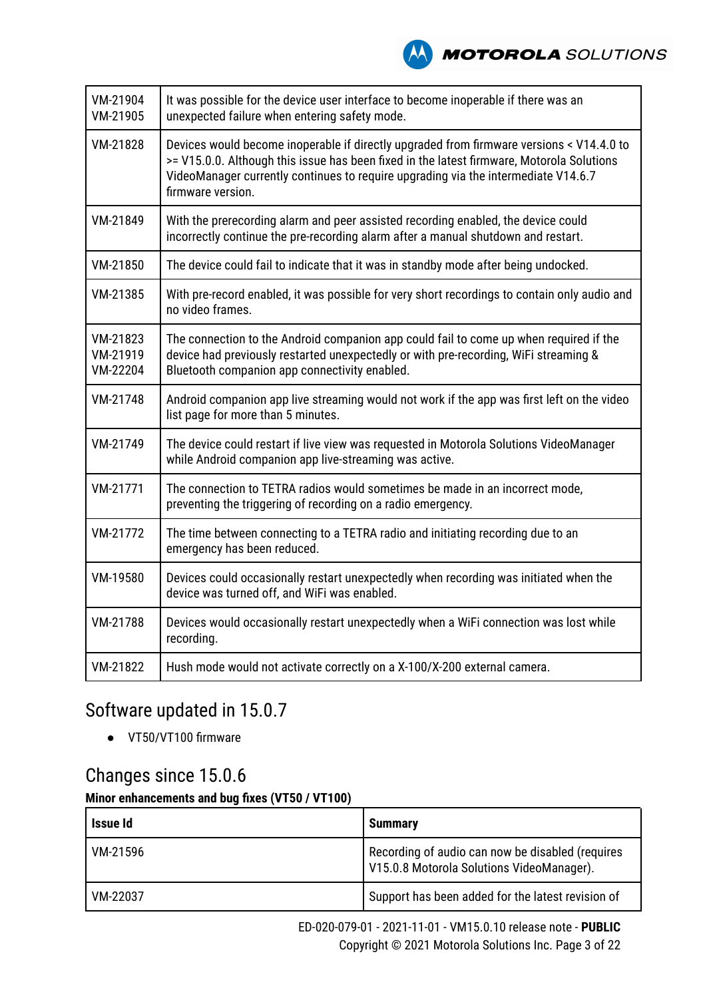| VM-21904<br>VM-21905             | It was possible for the device user interface to become inoperable if there was an<br>unexpected failure when entering safety mode.                                                                                                                                                              |
|----------------------------------|--------------------------------------------------------------------------------------------------------------------------------------------------------------------------------------------------------------------------------------------------------------------------------------------------|
| VM-21828                         | Devices would become inoperable if directly upgraded from firmware versions < V14.4.0 to<br>>= V15.0.0. Although this issue has been fixed in the latest firmware, Motorola Solutions<br>VideoManager currently continues to require upgrading via the intermediate V14.6.7<br>firmware version. |
| VM-21849                         | With the prerecording alarm and peer assisted recording enabled, the device could<br>incorrectly continue the pre-recording alarm after a manual shutdown and restart.                                                                                                                           |
| VM-21850                         | The device could fail to indicate that it was in standby mode after being undocked.                                                                                                                                                                                                              |
| VM-21385                         | With pre-record enabled, it was possible for very short recordings to contain only audio and<br>no video frames.                                                                                                                                                                                 |
| VM-21823<br>VM-21919<br>VM-22204 | The connection to the Android companion app could fail to come up when required if the<br>device had previously restarted unexpectedly or with pre-recording, WiFi streaming &<br>Bluetooth companion app connectivity enabled.                                                                  |
| VM-21748                         | Android companion app live streaming would not work if the app was first left on the video<br>list page for more than 5 minutes.                                                                                                                                                                 |
| VM-21749                         | The device could restart if live view was requested in Motorola Solutions VideoManager<br>while Android companion app live-streaming was active.                                                                                                                                                 |
| VM-21771                         | The connection to TETRA radios would sometimes be made in an incorrect mode,<br>preventing the triggering of recording on a radio emergency.                                                                                                                                                     |
| VM-21772                         | The time between connecting to a TETRA radio and initiating recording due to an<br>emergency has been reduced.                                                                                                                                                                                   |
| VM-19580                         | Devices could occasionally restart unexpectedly when recording was initiated when the<br>device was turned off, and WiFi was enabled.                                                                                                                                                            |
| VM-21788                         | Devices would occasionally restart unexpectedly when a WiFi connection was lost while<br>recording.                                                                                                                                                                                              |
| VM-21822                         | Hush mode would not activate correctly on a X-100/X-200 external camera.                                                                                                                                                                                                                         |
|                                  |                                                                                                                                                                                                                                                                                                  |

### Software updated in 15.0.7

● VT50/VT100 firmware

# Changes since 15.0.6

### **Minor enhancements and bug fixes (VT50 / VT100)**

| Issue Id | <b>Summary</b>                                                                                |
|----------|-----------------------------------------------------------------------------------------------|
| VM-21596 | Recording of audio can now be disabled (requires<br>V15.0.8 Motorola Solutions VideoManager). |
| VM-22037 | Support has been added for the latest revision of                                             |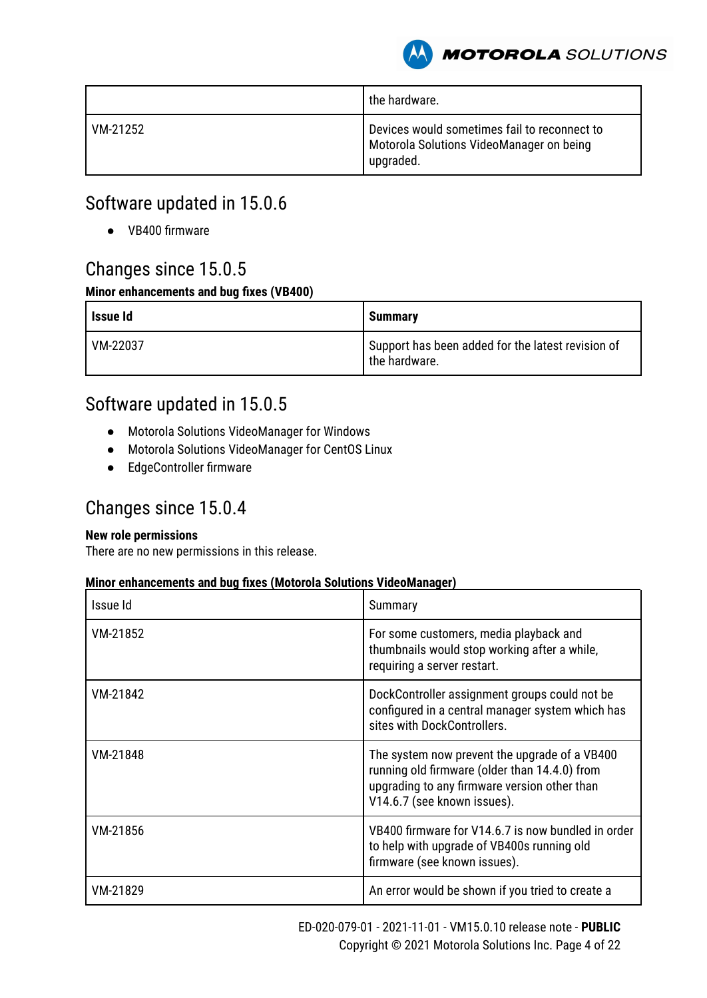

|          | the hardware.                                                                                         |
|----------|-------------------------------------------------------------------------------------------------------|
| VM-21252 | Devices would sometimes fail to reconnect to<br>Motorola Solutions VideoManager on being<br>upgraded. |

### Software updated in 15.0.6

● VB400 firmware

### Changes since 15.0.5

#### **Minor enhancements and bug fixes (VB400)**

| Issue Id | <b>Summary</b>                                                     |
|----------|--------------------------------------------------------------------|
| VM-22037 | Support has been added for the latest revision of<br>the hardware. |

### Software updated in 15.0.5

- Motorola Solutions VideoManager for Windows
- Motorola Solutions VideoManager for CentOS Linux
- EdgeController firmware

### Changes since 15.0.4

#### **New role permissions**

There are no new permissions in this release.

| Issue Id | Summary                                                                                                                                                                       |
|----------|-------------------------------------------------------------------------------------------------------------------------------------------------------------------------------|
| VM-21852 | For some customers, media playback and<br>thumbnails would stop working after a while,<br>requiring a server restart.                                                         |
| VM-21842 | DockController assignment groups could not be<br>configured in a central manager system which has<br>sites with DockControllers.                                              |
| VM-21848 | The system now prevent the upgrade of a VB400<br>running old firmware (older than 14.4.0) from<br>upgrading to any firmware version other than<br>V14.6.7 (see known issues). |
| VM-21856 | VB400 firmware for V14.6.7 is now bundled in order<br>to help with upgrade of VB400s running old<br>firmware (see known issues).                                              |
| VM-21829 | An error would be shown if you tried to create a                                                                                                                              |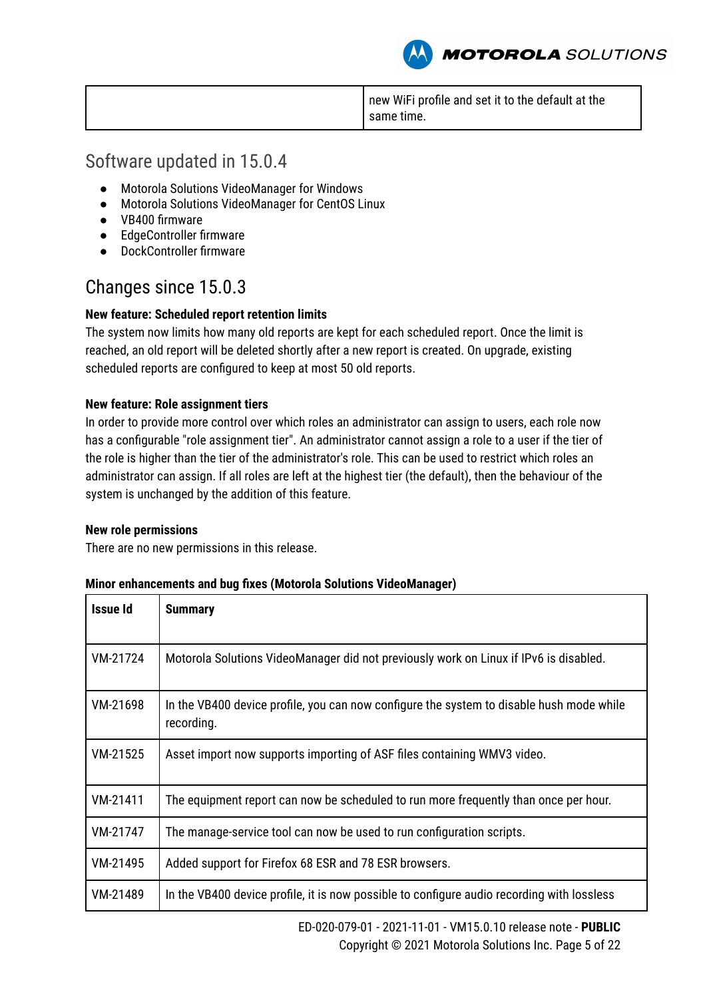new WiFi profile and set it to the default at the same time.

**MOTOROLA** SOLUTIONS

### Software updated in 15.0.4

- Motorola Solutions VideoManager for Windows
- Motorola Solutions VideoManager for CentOS Linux
- VB400 firmware
- EdgeController firmware
- DockController firmware

### Changes since 15.0.3

#### **New feature: Scheduled report retention limits**

The system now limits how many old reports are kept for each scheduled report. Once the limit is reached, an old report will be deleted shortly after a new report is created. On upgrade, existing scheduled reports are configured to keep at most 50 old reports.

#### **New feature: Role assignment tiers**

In order to provide more control over which roles an administrator can assign to users, each role now has a configurable "role assignment tier". An administrator cannot assign a role to a user if the tier of the role is higher than the tier of the administrator's role. This can be used to restrict which roles an administrator can assign. If all roles are left at the highest tier (the default), then the behaviour of the system is unchanged by the addition of this feature.

#### **New role permissions**

There are no new permissions in this release.

| Issue Id | <b>Summary</b>                                                                                         |
|----------|--------------------------------------------------------------------------------------------------------|
| VM-21724 | Motorola Solutions VideoManager did not previously work on Linux if IPv6 is disabled.                  |
| VM-21698 | In the VB400 device profile, you can now configure the system to disable hush mode while<br>recording. |
| VM-21525 | Asset import now supports importing of ASF files containing WMV3 video.                                |
| VM-21411 | The equipment report can now be scheduled to run more frequently than once per hour.                   |
| VM-21747 | The manage-service tool can now be used to run configuration scripts.                                  |
| VM-21495 | Added support for Firefox 68 ESR and 78 ESR browsers.                                                  |
| VM-21489 | In the VB400 device profile, it is now possible to configure audio recording with lossless             |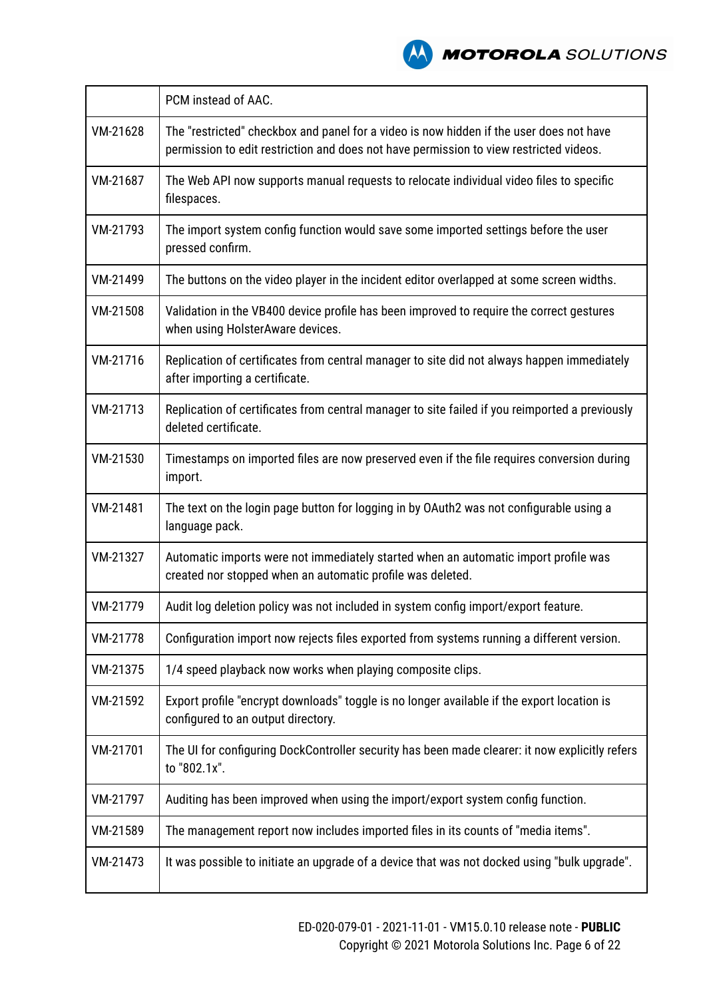

|          | PCM instead of AAC.                                                                                                                                                               |
|----------|-----------------------------------------------------------------------------------------------------------------------------------------------------------------------------------|
| VM-21628 | The "restricted" checkbox and panel for a video is now hidden if the user does not have<br>permission to edit restriction and does not have permission to view restricted videos. |
| VM-21687 | The Web API now supports manual requests to relocate individual video files to specific<br>filespaces.                                                                            |
| VM-21793 | The import system config function would save some imported settings before the user<br>pressed confirm.                                                                           |
| VM-21499 | The buttons on the video player in the incident editor overlapped at some screen widths.                                                                                          |
| VM-21508 | Validation in the VB400 device profile has been improved to require the correct gestures<br>when using HolsterAware devices.                                                      |
| VM-21716 | Replication of certificates from central manager to site did not always happen immediately<br>after importing a certificate.                                                      |
| VM-21713 | Replication of certificates from central manager to site failed if you reimported a previously<br>deleted certificate.                                                            |
| VM-21530 | Timestamps on imported files are now preserved even if the file requires conversion during<br>import.                                                                             |
| VM-21481 | The text on the login page button for logging in by OAuth2 was not configurable using a<br>language pack.                                                                         |
| VM-21327 | Automatic imports were not immediately started when an automatic import profile was<br>created nor stopped when an automatic profile was deleted.                                 |
| VM-21779 | Audit log deletion policy was not included in system config import/export feature.                                                                                                |
| VM-21778 | Configuration import now rejects files exported from systems running a different version.                                                                                         |
| VM-21375 | 1/4 speed playback now works when playing composite clips.                                                                                                                        |
| VM-21592 | Export profile "encrypt downloads" toggle is no longer available if the export location is<br>configured to an output directory.                                                  |
| VM-21701 | The UI for configuring DockController security has been made clearer: it now explicitly refers<br>to "802.1x".                                                                    |
| VM-21797 | Auditing has been improved when using the import/export system config function.                                                                                                   |
| VM-21589 | The management report now includes imported files in its counts of "media items".                                                                                                 |
| VM-21473 | It was possible to initiate an upgrade of a device that was not docked using "bulk upgrade".                                                                                      |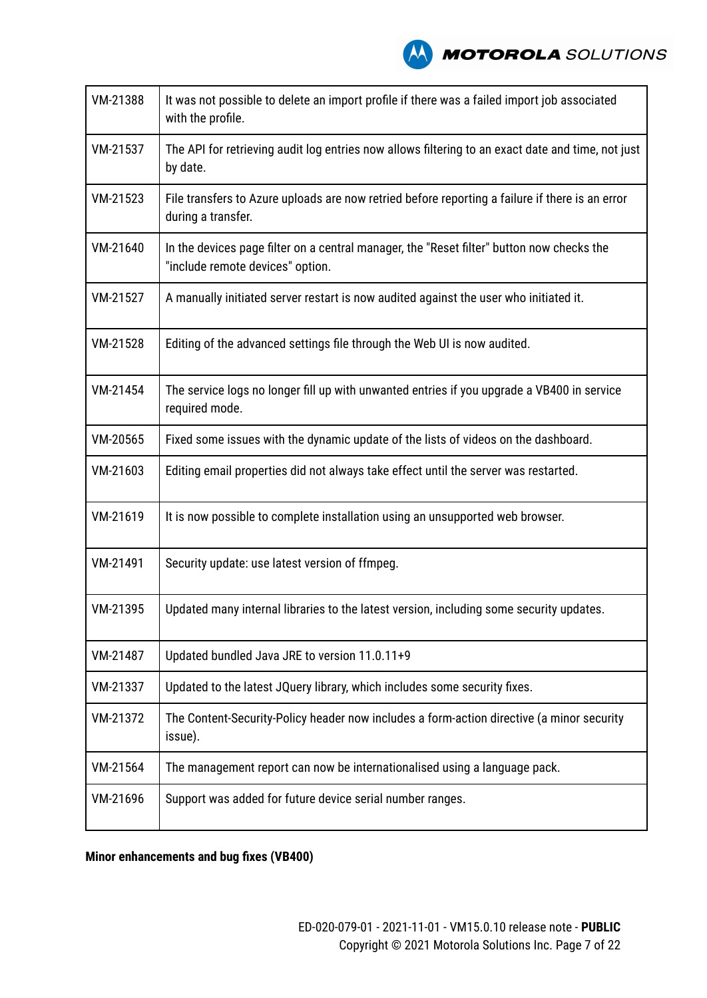

| VM-21388 | It was not possible to delete an import profile if there was a failed import job associated<br>with the profile.              |
|----------|-------------------------------------------------------------------------------------------------------------------------------|
| VM-21537 | The API for retrieving audit log entries now allows filtering to an exact date and time, not just<br>by date.                 |
| VM-21523 | File transfers to Azure uploads are now retried before reporting a failure if there is an error<br>during a transfer.         |
| VM-21640 | In the devices page filter on a central manager, the "Reset filter" button now checks the<br>"include remote devices" option. |
| VM-21527 | A manually initiated server restart is now audited against the user who initiated it.                                         |
| VM-21528 | Editing of the advanced settings file through the Web UI is now audited.                                                      |
| VM-21454 | The service logs no longer fill up with unwanted entries if you upgrade a VB400 in service<br>required mode.                  |
| VM-20565 | Fixed some issues with the dynamic update of the lists of videos on the dashboard.                                            |
| VM-21603 | Editing email properties did not always take effect until the server was restarted.                                           |
| VM-21619 | It is now possible to complete installation using an unsupported web browser.                                                 |
| VM-21491 | Security update: use latest version of ffmpeg.                                                                                |
| VM-21395 | Updated many internal libraries to the latest version, including some security updates.                                       |
| VM-21487 | Updated bundled Java JRE to version 11.0.11+9                                                                                 |
| VM-21337 | Updated to the latest JQuery library, which includes some security fixes.                                                     |
| VM-21372 | The Content-Security-Policy header now includes a form-action directive (a minor security<br>issue).                          |
| VM-21564 | The management report can now be internationalised using a language pack.                                                     |
| VM-21696 | Support was added for future device serial number ranges.                                                                     |

**Minor enhancements and bug fixes (VB400)**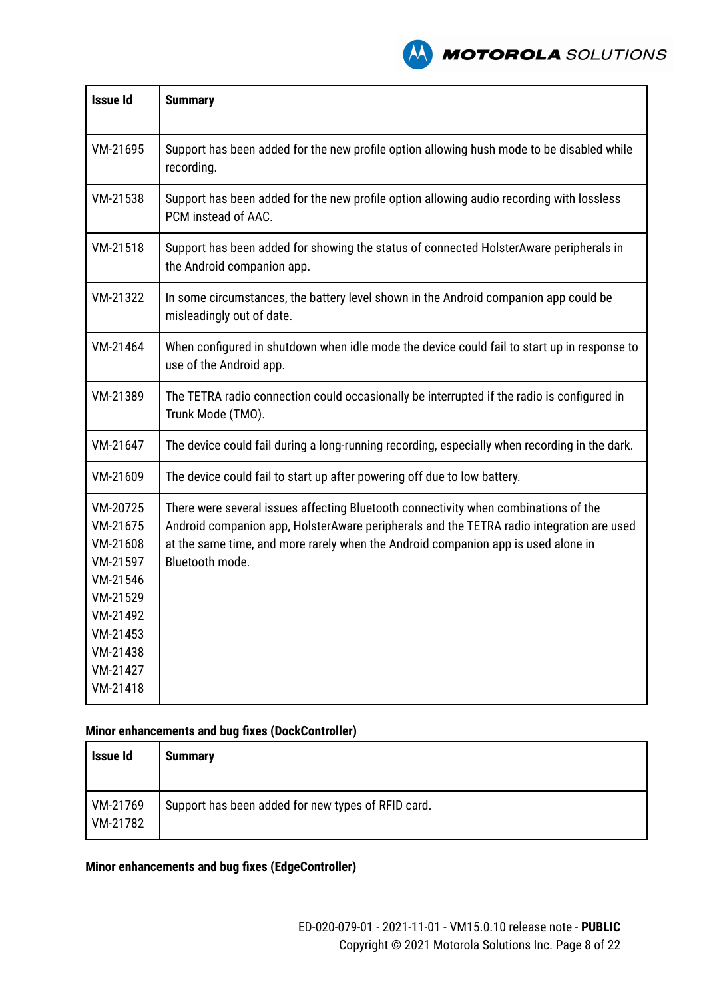

| <b>Issue Id</b>                                                                                                                  | <b>Summary</b>                                                                                                                                                                                                                                                                          |
|----------------------------------------------------------------------------------------------------------------------------------|-----------------------------------------------------------------------------------------------------------------------------------------------------------------------------------------------------------------------------------------------------------------------------------------|
| VM-21695                                                                                                                         | Support has been added for the new profile option allowing hush mode to be disabled while<br>recording.                                                                                                                                                                                 |
| VM-21538                                                                                                                         | Support has been added for the new profile option allowing audio recording with lossless<br>PCM instead of AAC.                                                                                                                                                                         |
| VM-21518                                                                                                                         | Support has been added for showing the status of connected HolsterAware peripherals in<br>the Android companion app.                                                                                                                                                                    |
| VM-21322                                                                                                                         | In some circumstances, the battery level shown in the Android companion app could be<br>misleadingly out of date.                                                                                                                                                                       |
| VM-21464                                                                                                                         | When configured in shutdown when idle mode the device could fail to start up in response to<br>use of the Android app.                                                                                                                                                                  |
| VM-21389                                                                                                                         | The TETRA radio connection could occasionally be interrupted if the radio is configured in<br>Trunk Mode (TMO).                                                                                                                                                                         |
| VM-21647                                                                                                                         | The device could fail during a long-running recording, especially when recording in the dark.                                                                                                                                                                                           |
| VM-21609                                                                                                                         | The device could fail to start up after powering off due to low battery.                                                                                                                                                                                                                |
| VM-20725<br>VM-21675<br>VM-21608<br>VM-21597<br>VM-21546<br>VM-21529<br>VM-21492<br>VM-21453<br>VM-21438<br>VM-21427<br>VM-21418 | There were several issues affecting Bluetooth connectivity when combinations of the<br>Android companion app, HolsterAware peripherals and the TETRA radio integration are used<br>at the same time, and more rarely when the Android companion app is used alone in<br>Bluetooth mode. |

#### **Minor enhancements and bug fixes (DockController)**

| Issue Id             | <b>Summary</b>                                     |
|----------------------|----------------------------------------------------|
| VM-21769<br>VM-21782 | Support has been added for new types of RFID card. |

#### **Minor enhancements and bug fixes (EdgeController)**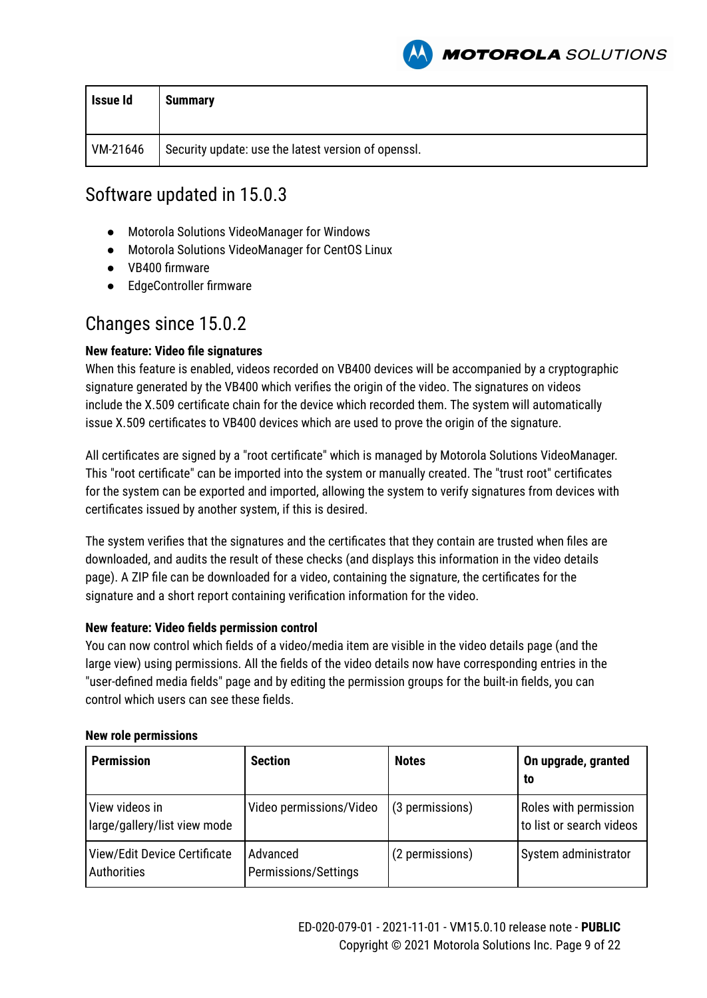

| Issue Id | <b>Summary</b>                                      |
|----------|-----------------------------------------------------|
| VM-21646 | Security update: use the latest version of openssl. |

### Software updated in 15.0.3

- Motorola Solutions VideoManager for Windows
- Motorola Solutions VideoManager for CentOS Linux
- VB400 firmware
- EdgeController firmware

### Changes since 15.0.2

#### **New feature: Video file signatures**

When this feature is enabled, videos recorded on VB400 devices will be accompanied by a cryptographic signature generated by the VB400 which verifies the origin of the video. The signatures on videos include the X.509 certificate chain for the device which recorded them. The system will automatically issue X.509 certificates to VB400 devices which are used to prove the origin of the signature.

All certificates are signed by a "root certificate" which is managed by Motorola Solutions VideoManager. This "root certificate" can be imported into the system or manually created. The "trust root" certificates for the system can be exported and imported, allowing the system to verify signatures from devices with certificates issued by another system, if this is desired.

The system verifies that the signatures and the certificates that they contain are trusted when files are downloaded, and audits the result of these checks (and displays this information in the video details page). A ZIP file can be downloaded for a video, containing the signature, the certificates for the signature and a short report containing verification information for the video.

#### **New feature: Video fields permission control**

You can now control which fields of a video/media item are visible in the video details page (and the large view) using permissions. All the fields of the video details now have corresponding entries in the "user-defined media fields" page and by editing the permission groups for the built-in fields, you can control which users can see these fields.

#### **New role permissions**

| <b>Permission</b>                              | <b>Section</b>                   | <b>Notes</b>    | On upgrade, granted<br>to                         |
|------------------------------------------------|----------------------------------|-----------------|---------------------------------------------------|
| View videos in<br>Iarge/gallery/list view mode | Video permissions/Video          | (3 permissions) | Roles with permission<br>to list or search videos |
| View/Edit Device Certificate<br>Authorities    | Advanced<br>Permissions/Settings | (2 permissions) | System administrator                              |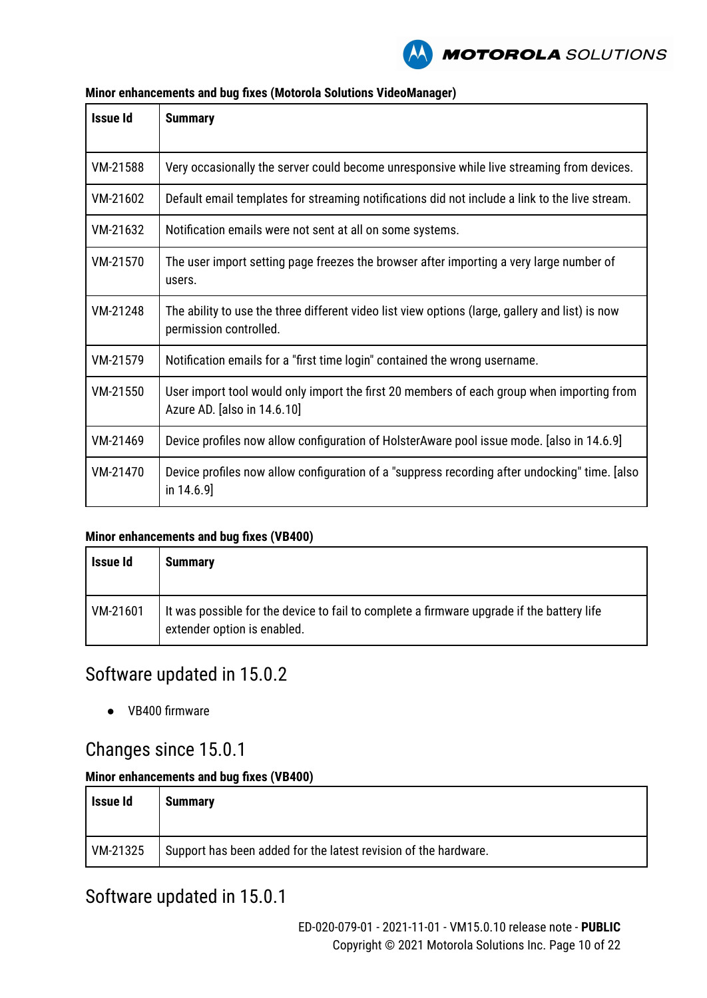

| <b>Issue Id</b> | <b>Summary</b>                                                                                                            |
|-----------------|---------------------------------------------------------------------------------------------------------------------------|
| VM-21588        | Very occasionally the server could become unresponsive while live streaming from devices.                                 |
| VM-21602        | Default email templates for streaming notifications did not include a link to the live stream.                            |
| VM-21632        | Notification emails were not sent at all on some systems.                                                                 |
| VM-21570        | The user import setting page freezes the browser after importing a very large number of<br>users.                         |
| VM-21248        | The ability to use the three different video list view options (large, gallery and list) is now<br>permission controlled. |
| VM-21579        | Notification emails for a "first time login" contained the wrong username.                                                |
| VM-21550        | User import tool would only import the first 20 members of each group when importing from<br>Azure AD. [also in 14.6.10]  |
| VM-21469        | Device profiles now allow configuration of HolsterAware pool issue mode. [also in 14.6.9]                                 |
| VM-21470        | Device profiles now allow configuration of a "suppress recording after undocking" time. [also<br>in $14.6.9$ ]            |

#### **Minor enhancements and bug fixes (Motorola Solutions VideoManager)**

#### **Minor enhancements and bug fixes (VB400)**

| Issue Id | <b>Summary</b>                                                                                                           |
|----------|--------------------------------------------------------------------------------------------------------------------------|
| VM-21601 | It was possible for the device to fail to complete a firmware upgrade if the battery life<br>extender option is enabled. |

### Software updated in 15.0.2

● VB400 firmware

### Changes since 15.0.1

#### **Minor enhancements and bug fixes (VB400)**

| Issue Id | <b>Summary</b>                                                  |
|----------|-----------------------------------------------------------------|
| VM-21325 | Support has been added for the latest revision of the hardware. |

### Software updated in 15.0.1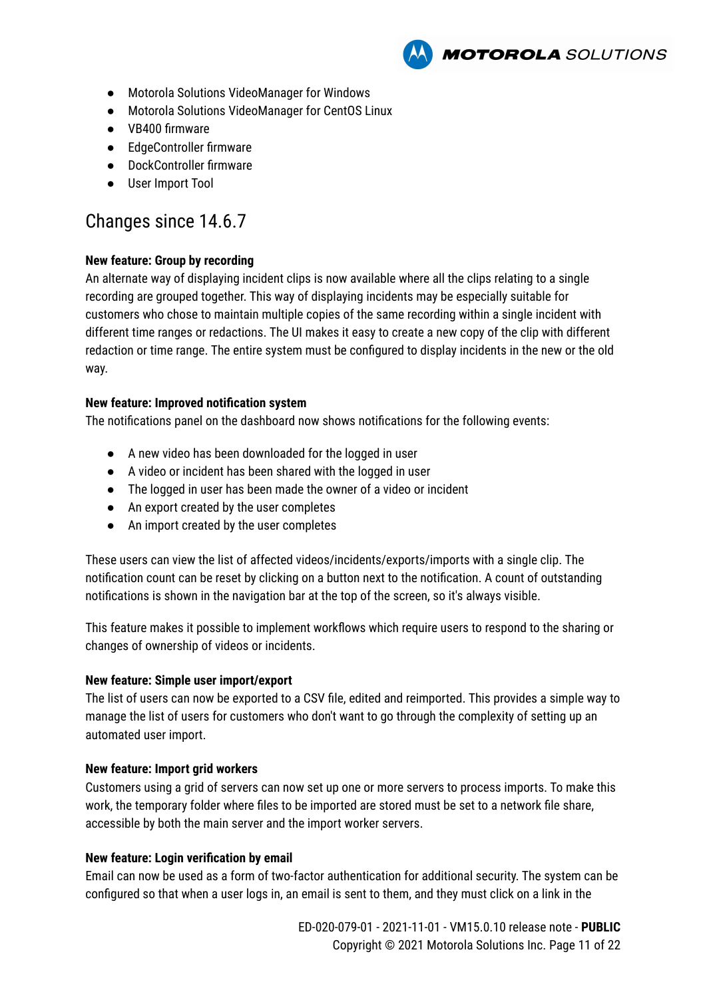

- Motorola Solutions VideoManager for Windows
- Motorola Solutions VideoManager for CentOS Linux
- VB400 firmware
- EdgeController firmware
- DockController firmware
- User Import Tool

### Changes since 14.6.7

#### **New feature: Group by recording**

An alternate way of displaying incident clips is now available where all the clips relating to a single recording are grouped together. This way of displaying incidents may be especially suitable for customers who chose to maintain multiple copies of the same recording within a single incident with different time ranges or redactions. The UI makes it easy to create a new copy of the clip with different redaction or time range. The entire system must be configured to display incidents in the new or the old way.

#### **New feature: Improved notification system**

The notifications panel on the dashboard now shows notifications for the following events:

- A new video has been downloaded for the logged in user
- A video or incident has been shared with the logged in user
- The logged in user has been made the owner of a video or incident
- An export created by the user completes
- An import created by the user completes

These users can view the list of affected videos/incidents/exports/imports with a single clip. The notification count can be reset by clicking on a button next to the notification. A count of outstanding notifications is shown in the navigation bar at the top of the screen, so it's always visible.

This feature makes it possible to implement workflows which require users to respond to the sharing or changes of ownership of videos or incidents.

#### **New feature: Simple user import/export**

The list of users can now be exported to a CSV file, edited and reimported. This provides a simple way to manage the list of users for customers who don't want to go through the complexity of setting up an automated user import.

#### **New feature: Import grid workers**

Customers using a grid of servers can now set up one or more servers to process imports. To make this work, the temporary folder where files to be imported are stored must be set to a network file share, accessible by both the main server and the import worker servers.

#### **New feature: Login verification by email**

Email can now be used as a form of two-factor authentication for additional security. The system can be configured so that when a user logs in, an email is sent to them, and they must click on a link in the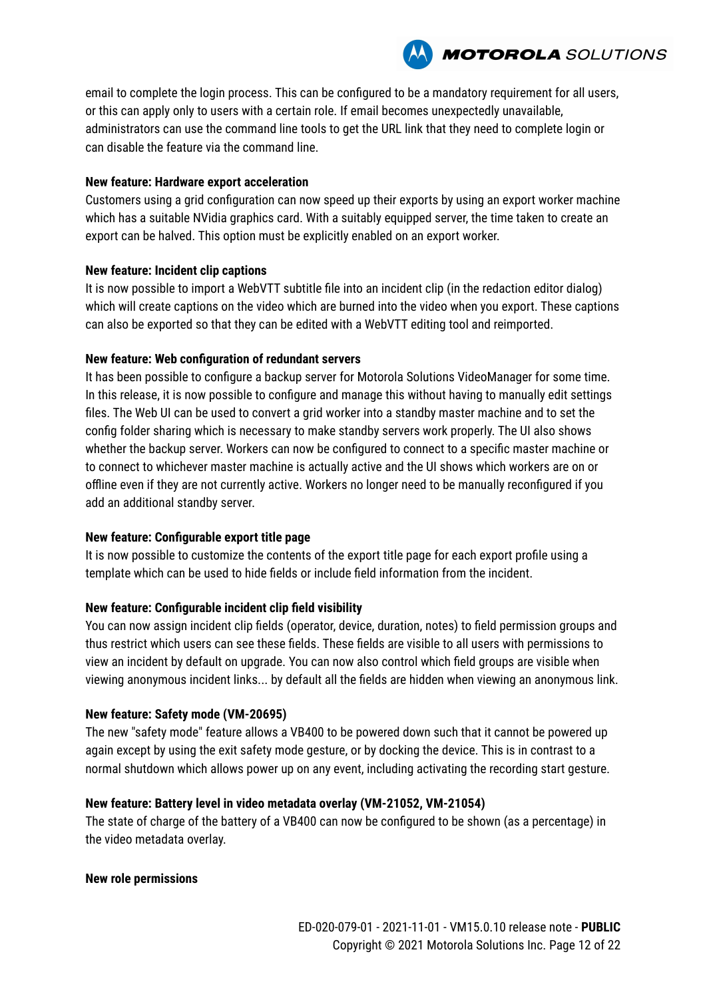email to complete the login process. This can be configured to be a mandatory requirement for all users, or this can apply only to users with a certain role. If email becomes unexpectedly unavailable, administrators can use the command line tools to get the URL link that they need to complete login or can disable the feature via the command line.

#### **New feature: Hardware export acceleration**

Customers using a grid configuration can now speed up their exports by using an export worker machine which has a suitable NVidia graphics card. With a suitably equipped server, the time taken to create an export can be halved. This option must be explicitly enabled on an export worker.

#### **New feature: Incident clip captions**

It is now possible to import a WebVTT subtitle file into an incident clip (in the redaction editor dialog) which will create captions on the video which are burned into the video when you export. These captions can also be exported so that they can be edited with a WebVTT editing tool and reimported.

#### **New feature: Web configuration of redundant servers**

It has been possible to configure a backup server for Motorola Solutions VideoManager for some time. In this release, it is now possible to configure and manage this without having to manually edit settings files. The Web UI can be used to convert a grid worker into a standby master machine and to set the config folder sharing which is necessary to make standby servers work properly. The UI also shows whether the backup server. Workers can now be configured to connect to a specific master machine or to connect to whichever master machine is actually active and the UI shows which workers are on or offline even if they are not currently active. Workers no longer need to be manually reconfigured if you add an additional standby server.

#### **New feature: Configurable export title page**

It is now possible to customize the contents of the export title page for each export profile using a template which can be used to hide fields or include field information from the incident.

#### **New feature: Configurable incident clip field visibility**

You can now assign incident clip fields (operator, device, duration, notes) to field permission groups and thus restrict which users can see these fields. These fields are visible to all users with permissions to view an incident by default on upgrade. You can now also control which field groups are visible when viewing anonymous incident links... by default all the fields are hidden when viewing an anonymous link.

#### **New feature: Safety mode (VM-20695)**

The new "safety mode" feature allows a VB400 to be powered down such that it cannot be powered up again except by using the exit safety mode gesture, or by docking the device. This is in contrast to a normal shutdown which allows power up on any event, including activating the recording start gesture.

#### **New feature: Battery level in video metadata overlay (VM-21052, VM-21054)**

The state of charge of the battery of a VB400 can now be configured to be shown (as a percentage) in the video metadata overlay.

#### **New role permissions**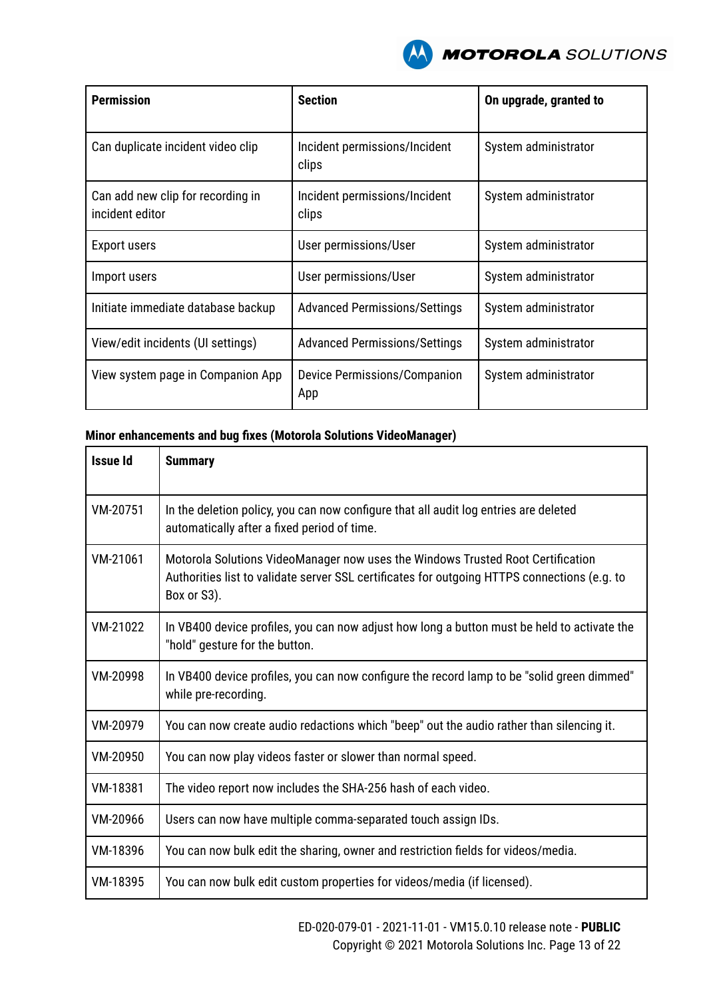

| <b>Permission</b>                                    | <b>Section</b>                         | On upgrade, granted to |
|------------------------------------------------------|----------------------------------------|------------------------|
| Can duplicate incident video clip                    | Incident permissions/Incident<br>clips | System administrator   |
| Can add new clip for recording in<br>incident editor | Incident permissions/Incident<br>clips | System administrator   |
| <b>Export users</b>                                  | User permissions/User                  | System administrator   |
| Import users                                         | User permissions/User                  | System administrator   |
| Initiate immediate database backup                   | <b>Advanced Permissions/Settings</b>   | System administrator   |
| View/edit incidents (UI settings)                    | <b>Advanced Permissions/Settings</b>   | System administrator   |
| View system page in Companion App                    | Device Permissions/Companion<br>App    | System administrator   |

| <b>Issue Id</b> | <b>Summary</b>                                                                                                                                                                                 |
|-----------------|------------------------------------------------------------------------------------------------------------------------------------------------------------------------------------------------|
| VM-20751        | In the deletion policy, you can now configure that all audit log entries are deleted<br>automatically after a fixed period of time.                                                            |
| VM-21061        | Motorola Solutions VideoManager now uses the Windows Trusted Root Certification<br>Authorities list to validate server SSL certificates for outgoing HTTPS connections (e.g. to<br>Box or S3). |
| VM-21022        | In VB400 device profiles, you can now adjust how long a button must be held to activate the<br>"hold" gesture for the button.                                                                  |
| VM-20998        | In VB400 device profiles, you can now configure the record lamp to be "solid green dimmed"<br>while pre-recording.                                                                             |
| VM-20979        | You can now create audio redactions which "beep" out the audio rather than silencing it.                                                                                                       |
| VM-20950        | You can now play videos faster or slower than normal speed.                                                                                                                                    |
| VM-18381        | The video report now includes the SHA-256 hash of each video.                                                                                                                                  |
| VM-20966        | Users can now have multiple comma-separated touch assign IDs.                                                                                                                                  |
| VM-18396        | You can now bulk edit the sharing, owner and restriction fields for videos/media.                                                                                                              |
| VM-18395        | You can now bulk edit custom properties for videos/media (if licensed).                                                                                                                        |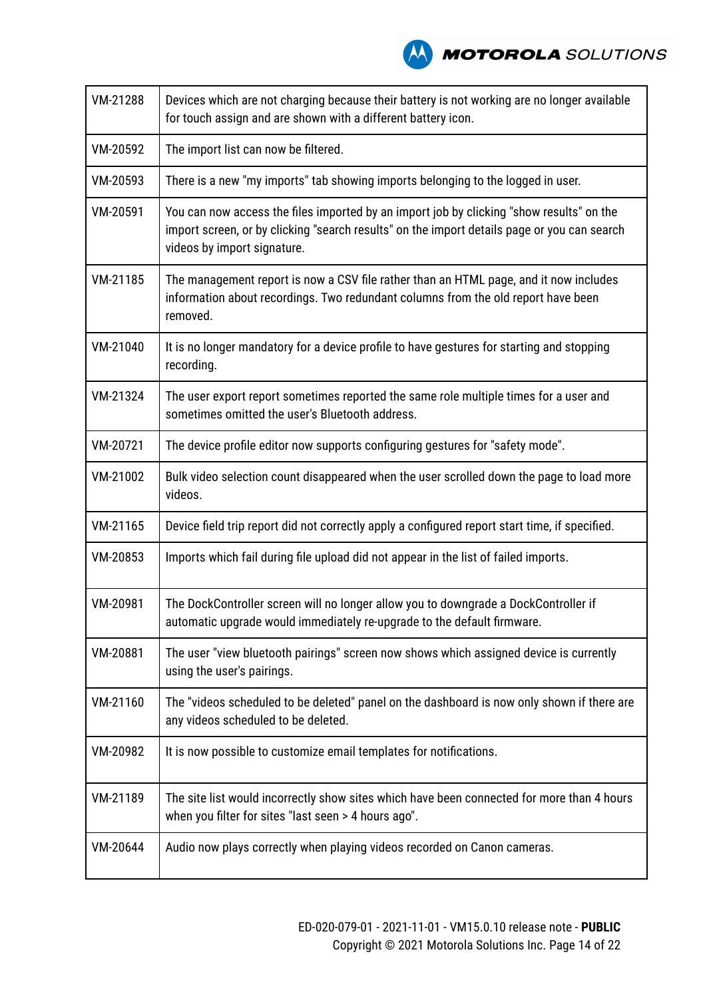| VM-21288 | Devices which are not charging because their battery is not working are no longer available<br>for touch assign and are shown with a different battery icon.                                                           |
|----------|------------------------------------------------------------------------------------------------------------------------------------------------------------------------------------------------------------------------|
| VM-20592 | The import list can now be filtered.                                                                                                                                                                                   |
| VM-20593 | There is a new "my imports" tab showing imports belonging to the logged in user.                                                                                                                                       |
| VM-20591 | You can now access the files imported by an import job by clicking "show results" on the<br>import screen, or by clicking "search results" on the import details page or you can search<br>videos by import signature. |
| VM-21185 | The management report is now a CSV file rather than an HTML page, and it now includes<br>information about recordings. Two redundant columns from the old report have been<br>removed.                                 |
| VM-21040 | It is no longer mandatory for a device profile to have gestures for starting and stopping<br>recording.                                                                                                                |
| VM-21324 | The user export report sometimes reported the same role multiple times for a user and<br>sometimes omitted the user's Bluetooth address.                                                                               |
| VM-20721 | The device profile editor now supports configuring gestures for "safety mode".                                                                                                                                         |
| VM-21002 | Bulk video selection count disappeared when the user scrolled down the page to load more<br>videos.                                                                                                                    |
| VM-21165 | Device field trip report did not correctly apply a configured report start time, if specified.                                                                                                                         |
| VM-20853 | Imports which fail during file upload did not appear in the list of failed imports.                                                                                                                                    |
| VM-20981 | The DockController screen will no longer allow you to downgrade a DockController if<br>automatic upgrade would immediately re-upgrade to the default firmware.                                                         |
| VM-20881 | The user "view bluetooth pairings" screen now shows which assigned device is currently<br>using the user's pairings.                                                                                                   |
| VM-21160 | The "videos scheduled to be deleted" panel on the dashboard is now only shown if there are<br>any videos scheduled to be deleted.                                                                                      |
| VM-20982 | It is now possible to customize email templates for notifications.                                                                                                                                                     |
| VM-21189 | The site list would incorrectly show sites which have been connected for more than 4 hours<br>when you filter for sites "last seen > 4 hours ago".                                                                     |
| VM-20644 | Audio now plays correctly when playing videos recorded on Canon cameras.                                                                                                                                               |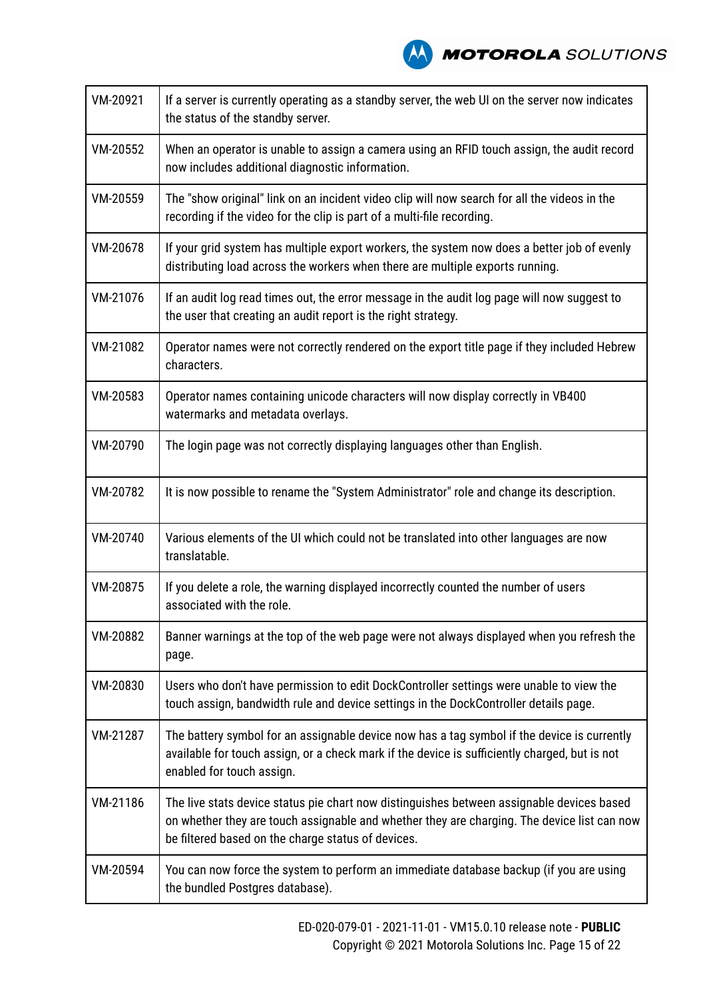| VM-20921 | If a server is currently operating as a standby server, the web UI on the server now indicates<br>the status of the standby server.                                                                                                            |
|----------|------------------------------------------------------------------------------------------------------------------------------------------------------------------------------------------------------------------------------------------------|
| VM-20552 | When an operator is unable to assign a camera using an RFID touch assign, the audit record<br>now includes additional diagnostic information.                                                                                                  |
| VM-20559 | The "show original" link on an incident video clip will now search for all the videos in the<br>recording if the video for the clip is part of a multi-file recording.                                                                         |
| VM-20678 | If your grid system has multiple export workers, the system now does a better job of evenly<br>distributing load across the workers when there are multiple exports running.                                                                   |
| VM-21076 | If an audit log read times out, the error message in the audit log page will now suggest to<br>the user that creating an audit report is the right strategy.                                                                                   |
| VM-21082 | Operator names were not correctly rendered on the export title page if they included Hebrew<br>characters.                                                                                                                                     |
| VM-20583 | Operator names containing unicode characters will now display correctly in VB400<br>watermarks and metadata overlays.                                                                                                                          |
| VM-20790 | The login page was not correctly displaying languages other than English.                                                                                                                                                                      |
| VM-20782 | It is now possible to rename the "System Administrator" role and change its description.                                                                                                                                                       |
| VM-20740 | Various elements of the UI which could not be translated into other languages are now<br>translatable.                                                                                                                                         |
| VM-20875 | If you delete a role, the warning displayed incorrectly counted the number of users<br>associated with the role.                                                                                                                               |
| VM-20882 | Banner warnings at the top of the web page were not always displayed when you refresh the<br>page.                                                                                                                                             |
| VM-20830 | Users who don't have permission to edit DockController settings were unable to view the<br>touch assign, bandwidth rule and device settings in the DockController details page.                                                                |
| VM-21287 | The battery symbol for an assignable device now has a tag symbol if the device is currently<br>available for touch assign, or a check mark if the device is sufficiently charged, but is not<br>enabled for touch assign.                      |
| VM-21186 | The live stats device status pie chart now distinguishes between assignable devices based<br>on whether they are touch assignable and whether they are charging. The device list can now<br>be filtered based on the charge status of devices. |
| VM-20594 | You can now force the system to perform an immediate database backup (if you are using<br>the bundled Postgres database).                                                                                                                      |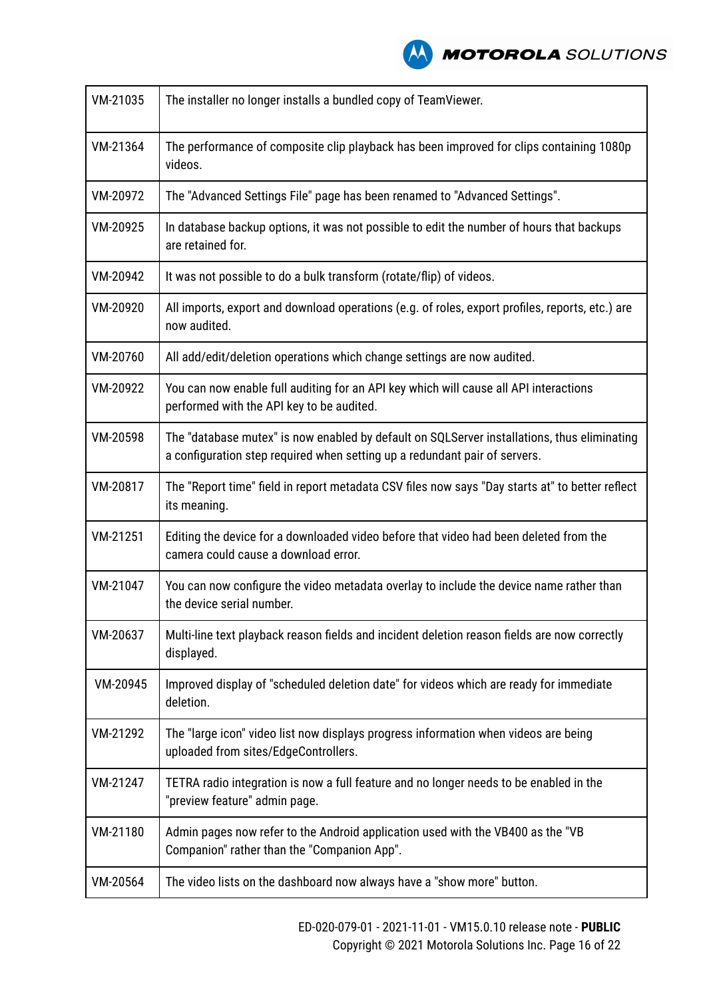| VM-21035 | The installer no longer installs a bundled copy of TeamViewer.                                                                                                            |
|----------|---------------------------------------------------------------------------------------------------------------------------------------------------------------------------|
| VM-21364 | The performance of composite clip playback has been improved for clips containing 1080p<br>videos.                                                                        |
| VM-20972 | The "Advanced Settings File" page has been renamed to "Advanced Settings".                                                                                                |
| VM-20925 | In database backup options, it was not possible to edit the number of hours that backups<br>are retained for.                                                             |
| VM-20942 | It was not possible to do a bulk transform (rotate/flip) of videos.                                                                                                       |
| VM-20920 | All imports, export and download operations (e.g. of roles, export profiles, reports, etc.) are<br>now audited.                                                           |
| VM-20760 | All add/edit/deletion operations which change settings are now audited.                                                                                                   |
| VM-20922 | You can now enable full auditing for an API key which will cause all API interactions<br>performed with the API key to be audited.                                        |
| VM-20598 | The "database mutex" is now enabled by default on SQLServer installations, thus eliminating<br>a configuration step required when setting up a redundant pair of servers. |
| VM-20817 | The "Report time" field in report metadata CSV files now says "Day starts at" to better reflect<br>its meaning.                                                           |
| VM-21251 | Editing the device for a downloaded video before that video had been deleted from the<br>camera could cause a download error.                                             |
| VM-21047 | You can now configure the video metadata overlay to include the device name rather than<br>the device serial number.                                                      |
| VM-20637 | Multi-line text playback reason fields and incident deletion reason fields are now correctly<br>displayed.                                                                |
| VM-20945 | Improved display of "scheduled deletion date" for videos which are ready for immediate<br>deletion.                                                                       |
| VM-21292 | The "large icon" video list now displays progress information when videos are being<br>uploaded from sites/EdgeControllers.                                               |
| VM-21247 | TETRA radio integration is now a full feature and no longer needs to be enabled in the<br>"preview feature" admin page.                                                   |
| VM-21180 | Admin pages now refer to the Android application used with the VB400 as the "VB<br>Companion" rather than the "Companion App".                                            |
| VM-20564 | The video lists on the dashboard now always have a "show more" button.                                                                                                    |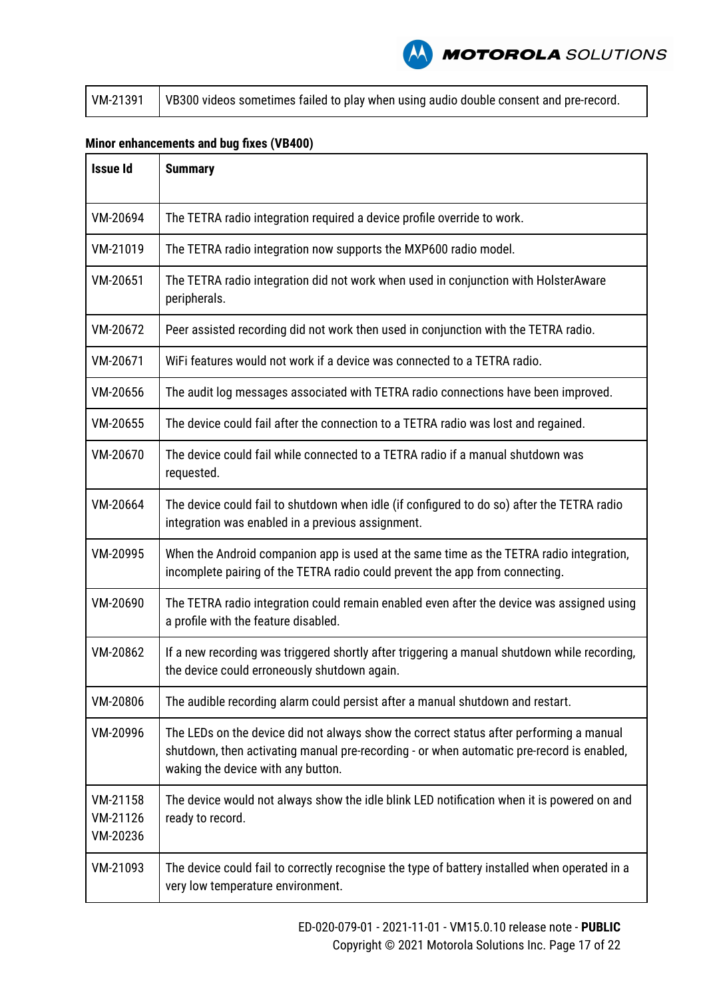|  | $\mid$ VM-21391 $\mid$ VB300 videos sometimes failed to play when using audio double consent and pre-record. |
|--|--------------------------------------------------------------------------------------------------------------|
|--|--------------------------------------------------------------------------------------------------------------|

### **Minor enhancements and bug fixes (VB400)**

| <b>Issue Id</b>                  | <b>Summary</b>                                                                                                                                                                                                             |  |
|----------------------------------|----------------------------------------------------------------------------------------------------------------------------------------------------------------------------------------------------------------------------|--|
| VM-20694                         | The TETRA radio integration required a device profile override to work.                                                                                                                                                    |  |
| VM-21019                         | The TETRA radio integration now supports the MXP600 radio model.                                                                                                                                                           |  |
| VM-20651                         | The TETRA radio integration did not work when used in conjunction with HolsterAware<br>peripherals.                                                                                                                        |  |
| VM-20672                         | Peer assisted recording did not work then used in conjunction with the TETRA radio.                                                                                                                                        |  |
| VM-20671                         | WiFi features would not work if a device was connected to a TETRA radio.                                                                                                                                                   |  |
| VM-20656                         | The audit log messages associated with TETRA radio connections have been improved.                                                                                                                                         |  |
| VM-20655                         | The device could fail after the connection to a TETRA radio was lost and regained.                                                                                                                                         |  |
| VM-20670                         | The device could fail while connected to a TETRA radio if a manual shutdown was<br>requested.                                                                                                                              |  |
| VM-20664                         | The device could fail to shutdown when idle (if configured to do so) after the TETRA radio<br>integration was enabled in a previous assignment.                                                                            |  |
| VM-20995                         | When the Android companion app is used at the same time as the TETRA radio integration,<br>incomplete pairing of the TETRA radio could prevent the app from connecting.                                                    |  |
| VM-20690                         | The TETRA radio integration could remain enabled even after the device was assigned using<br>a profile with the feature disabled.                                                                                          |  |
| VM-20862                         | If a new recording was triggered shortly after triggering a manual shutdown while recording,<br>the device could erroneously shutdown again.                                                                               |  |
| VM-20806                         | The audible recording alarm could persist after a manual shutdown and restart.                                                                                                                                             |  |
| VM-20996                         | The LEDs on the device did not always show the correct status after performing a manual<br>shutdown, then activating manual pre-recording - or when automatic pre-record is enabled,<br>waking the device with any button. |  |
| VM-21158<br>VM-21126<br>VM-20236 | The device would not always show the idle blink LED notification when it is powered on and<br>ready to record.                                                                                                             |  |
| VM-21093                         | The device could fail to correctly recognise the type of battery installed when operated in a<br>very low temperature environment.                                                                                         |  |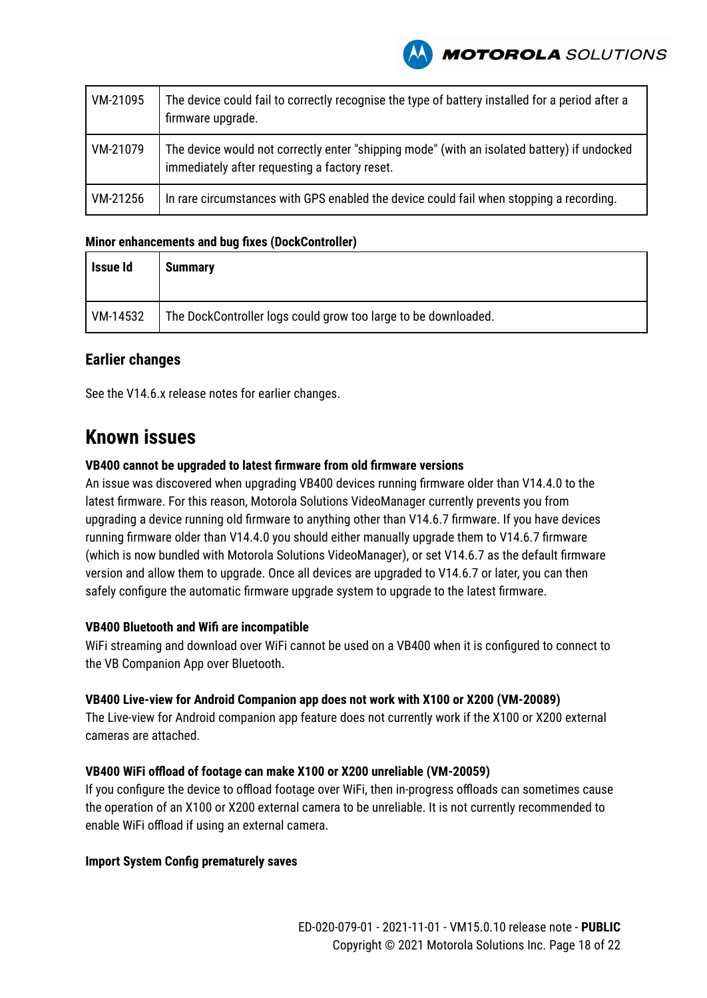

| VM-21095 | The device could fail to correctly recognise the type of battery installed for a period after a<br>firmware upgrade.                         |
|----------|----------------------------------------------------------------------------------------------------------------------------------------------|
| VM-21079 | The device would not correctly enter "shipping mode" (with an isolated battery) if undocked<br>immediately after requesting a factory reset. |
| VM-21256 | In rare circumstances with GPS enabled the device could fail when stopping a recording.                                                      |

#### **Minor enhancements and bug fixes (DockController)**

| Issue Id | <b>Summary</b>                                                 |
|----------|----------------------------------------------------------------|
| VM-14532 | The DockController logs could grow too large to be downloaded. |

#### **Earlier changes**

See the V14.6.x release notes for earlier changes.

### **Known issues**

#### **VB400 cannot be upgraded to latest firmware from old firmware versions**

An issue was discovered when upgrading VB400 devices running firmware older than V14.4.0 to the latest firmware. For this reason, Motorola Solutions VideoManager currently prevents you from upgrading a device running old firmware to anything other than V14.6.7 firmware. If you have devices running firmware older than V14.4.0 you should either manually upgrade them to V14.6.7 firmware (which is now bundled with Motorola Solutions VideoManager), or set V14.6.7 as the default firmware version and allow them to upgrade. Once all devices are upgraded to V14.6.7 or later, you can then safely configure the automatic firmware upgrade system to upgrade to the latest firmware.

#### **VB400 Bluetooth and Wifi are incompatible**

WiFi streaming and download over WiFi cannot be used on a VB400 when it is configured to connect to the VB Companion App over Bluetooth.

#### **VB400 Live-view for Android Companion app does not work with X100 or X200 (VM-20089)**

The Live-view for Android companion app feature does not currently work if the X100 or X200 external cameras are attached.

#### **VB400 WiFi offload of footage can make X100 or X200 unreliable (VM-20059)**

If you configure the device to offload footage over WiFi, then in-progress offloads can sometimes cause the operation of an X100 or X200 external camera to be unreliable. It is not currently recommended to enable WiFi offload if using an external camera.

#### **Import System Config prematurely saves**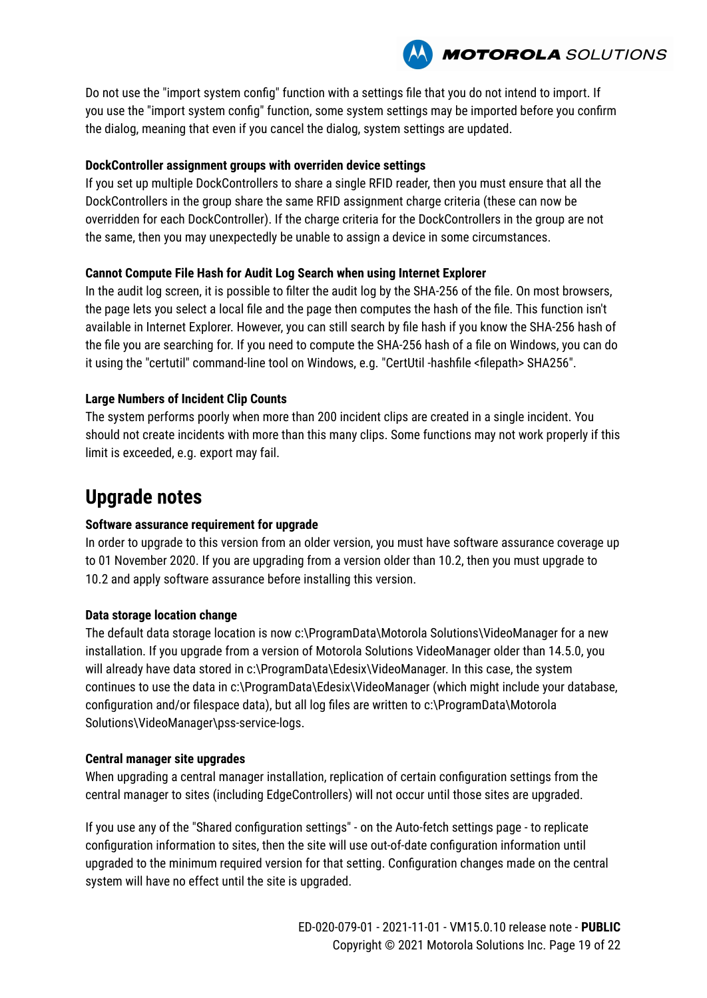

Do not use the "import system config" function with a settings file that you do not intend to import. If you use the "import system config" function, some system settings may be imported before you confirm the dialog, meaning that even if you cancel the dialog, system settings are updated.

#### **DockController assignment groups with overriden device settings**

If you set up multiple DockControllers to share a single RFID reader, then you must ensure that all the DockControllers in the group share the same RFID assignment charge criteria (these can now be overridden for each DockController). If the charge criteria for the DockControllers in the group are not the same, then you may unexpectedly be unable to assign a device in some circumstances.

#### **Cannot Compute File Hash for Audit Log Search when using Internet Explorer**

In the audit log screen, it is possible to filter the audit log by the SHA-256 of the file. On most browsers, the page lets you select a local file and the page then computes the hash of the file. This function isn't available in Internet Explorer. However, you can still search by file hash if you know the SHA-256 hash of the file you are searching for. If you need to compute the SHA-256 hash of a file on Windows, you can do it using the "certutil" command-line tool on Windows, e.g. "CertUtil -hashfile <filepath> SHA256".

#### **Large Numbers of Incident Clip Counts**

The system performs poorly when more than 200 incident clips are created in a single incident. You should not create incidents with more than this many clips. Some functions may not work properly if this limit is exceeded, e.g. export may fail.

# **Upgrade notes**

#### **Software assurance requirement for upgrade**

In order to upgrade to this version from an older version, you must have software assurance coverage up to 01 November 2020. If you are upgrading from a version older than 10.2, then you must upgrade to 10.2 and apply software assurance before installing this version.

#### **Data storage location change**

The default data storage location is now c:\ProgramData\Motorola Solutions\VideoManager for a new installation. If you upgrade from a version of Motorola Solutions VideoManager older than 14.5.0, you will already have data stored in c:\ProgramData\Edesix\VideoManager. In this case, the system continues to use the data in c:\ProgramData\Edesix\VideoManager (which might include your database, configuration and/or filespace data), but all log files are written to c:\ProgramData\Motorola Solutions\VideoManager\pss-service-logs.

#### **Central manager site upgrades**

When upgrading a central manager installation, replication of certain configuration settings from the central manager to sites (including EdgeControllers) will not occur until those sites are upgraded.

If you use any of the "Shared configuration settings" - on the Auto-fetch settings page - to replicate configuration information to sites, then the site will use out-of-date configuration information until upgraded to the minimum required version for that setting. Configuration changes made on the central system will have no effect until the site is upgraded.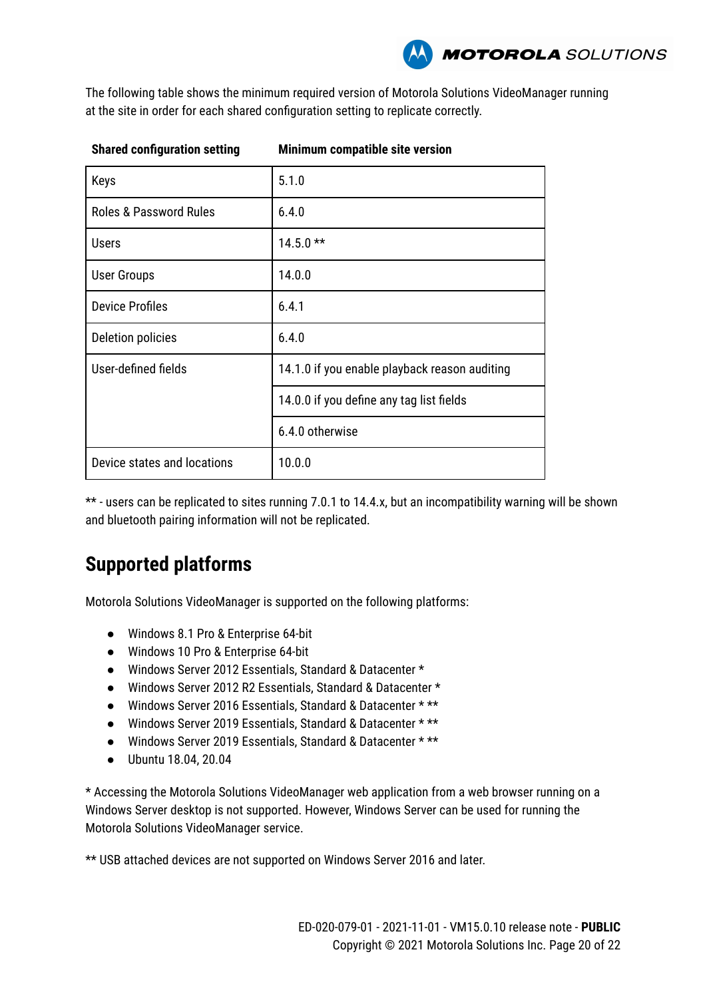The following table shows the minimum required version of Motorola Solutions VideoManager running at the site in order for each shared configuration setting to replicate correctly.

| <b>Shared configuration setting</b> | Minimum compatible site version               |  |
|-------------------------------------|-----------------------------------------------|--|
| Keys                                | 5.1.0                                         |  |
| <b>Roles &amp; Password Rules</b>   | 6.4.0                                         |  |
| <b>Users</b>                        | $14.5.0**$                                    |  |
| User Groups                         | 14.0.0                                        |  |
| <b>Device Profiles</b>              | 6.4.1                                         |  |
| Deletion policies                   | 6.4.0                                         |  |
| User-defined fields                 | 14.1.0 if you enable playback reason auditing |  |
|                                     | 14.0.0 if you define any tag list fields      |  |
|                                     | 6.4.0 otherwise                               |  |
| Device states and locations         | 10.0.0                                        |  |

\*\* - users can be replicated to sites running 7.0.1 to 14.4.x, but an incompatibility warning will be shown and bluetooth pairing information will not be replicated.

# **Supported platforms**

Motorola Solutions VideoManager is supported on the following platforms:

- Windows 8.1 Pro & Enterprise 64-bit
- Windows 10 Pro & Enterprise 64-bit
- Windows Server 2012 Essentials, Standard & Datacenter \*
- Windows Server 2012 R2 Essentials, Standard & Datacenter \*
- Windows Server 2016 Essentials, Standard & Datacenter \* \*\*
- Windows Server 2019 Essentials, Standard & Datacenter \* \*\*
- Windows Server 2019 Essentials, Standard & Datacenter \* \*\*
- Ubuntu 18.04, 20.04

\* Accessing the Motorola Solutions VideoManager web application from a web browser running on a Windows Server desktop is not supported. However, Windows Server can be used for running the Motorola Solutions VideoManager service.

\*\* USB attached devices are not supported on Windows Server 2016 and later.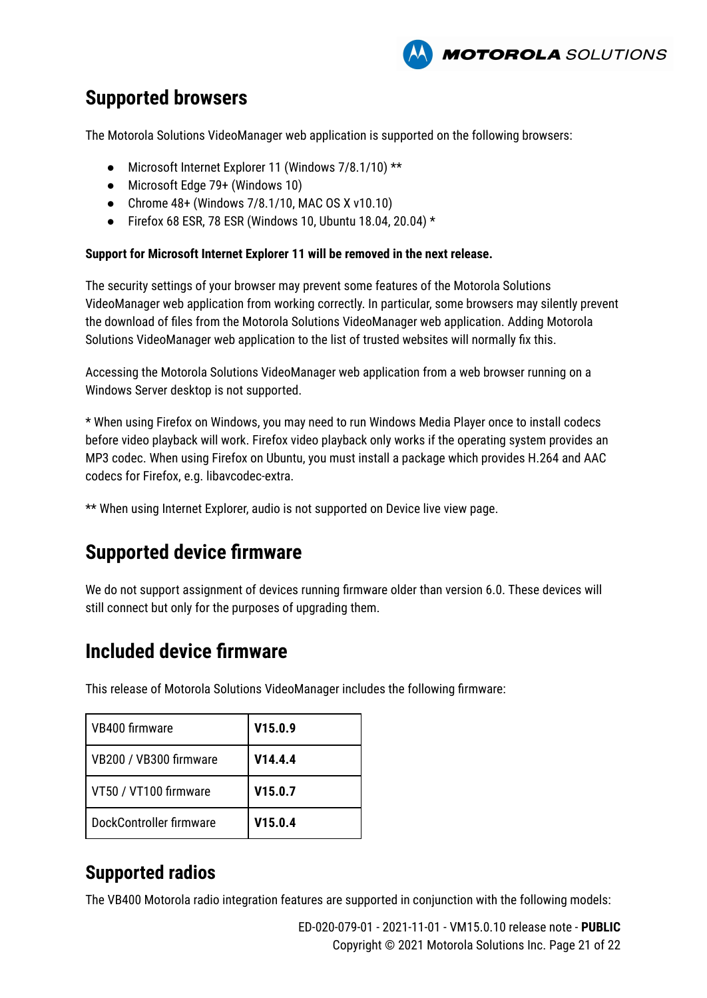

### **Supported browsers**

The Motorola Solutions VideoManager web application is supported on the following browsers:

- Microsoft Internet Explorer 11 (Windows 7/8.1/10) \*\*
- Microsoft Edge 79+ (Windows 10)
- $\bullet$  Chrome 48+ (Windows 7/8.1/10, MAC OS X v10.10)
- Firefox 68 ESR, 78 ESR (Windows 10, Ubuntu 18.04, 20.04)  $*$

#### **Support for Microsoft Internet Explorer 11 will be removed in the next release.**

The security settings of your browser may prevent some features of the Motorola Solutions VideoManager web application from working correctly. In particular, some browsers may silently prevent the download of files from the Motorola Solutions VideoManager web application. Adding Motorola Solutions VideoManager web application to the list of trusted websites will normally fix this.

Accessing the Motorola Solutions VideoManager web application from a web browser running on a Windows Server desktop is not supported.

\* When using Firefox on Windows, you may need to run Windows Media Player once to install codecs before video playback will work. Firefox video playback only works if the operating system provides an MP3 codec. When using Firefox on Ubuntu, you must install a package which provides H.264 and AAC codecs for Firefox, e.g. libavcodec-extra.

\*\* When using Internet Explorer, audio is not supported on Device live view page.

# **Supported device firmware**

We do not support assignment of devices running firmware older than version 6.0. These devices will still connect but only for the purposes of upgrading them.

### **Included device firmware**

This release of Motorola Solutions VideoManager includes the following firmware:

| VB400 firmware          | V15.0.9 |
|-------------------------|---------|
| VB200 / VB300 firmware  | V14.4.4 |
| VT50 / VT100 firmware   | V15.0.7 |
| DockController firmware | V15.0.4 |

### **Supported radios**

The VB400 Motorola radio integration features are supported in conjunction with the following models: